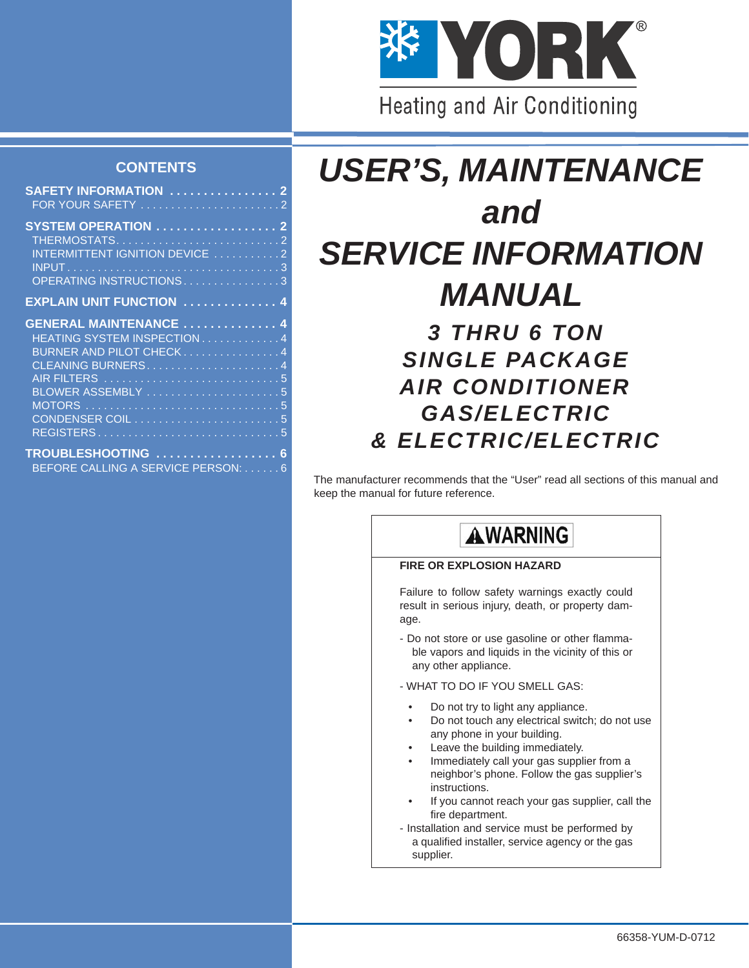

### **CONTENTS**

| <b>SAFETY INFORMATION  2</b>    |  |
|---------------------------------|--|
|                                 |  |
|                                 |  |
| <b>SYSTEM OPERATION</b> 2       |  |
|                                 |  |
|                                 |  |
| INTERMITTENT IGNITION DEVICE 2  |  |
|                                 |  |
| OPERATING INSTRUCTIONS3         |  |
|                                 |  |
| <b>EXPLAIN UNIT FUNCTION  4</b> |  |
|                                 |  |
| <b>GENERAL MAINTENANCE  4</b>   |  |
| HEATING SYSTEM INSPECTION 4     |  |
|                                 |  |
| BURNER AND PILOT CHECK4         |  |
| CLEANING BURNERS4               |  |
| AIR FILTERS 5                   |  |
|                                 |  |
| BLOWER ASSEMBLY 5               |  |
|                                 |  |
| CONDENSER COIL5                 |  |

**[TROUBLESHOOTING . . . . . . . . . . . . . . . . . . 6](#page-5-0)** [BEFORE CALLING A SERVICE PERSON: . . . . . . 6](#page-5-1)

[REGISTERS . . . . . . . . . . . . . . . . . . . . . . . . . . . . . . 5](#page-4-4)

# *USER'S, MAINTENANCE and SERVICE INFORMATION MANUAL*

# *3 THRU 6 TON SINGLE PACKAGE AIR CONDITIONER GAS/ELECTRIC & ELECTRIC/ELECTRIC*

The manufacturer recommends that the "User" read all sections of this manual and keep the manual for future reference.

# **AWARNING**

### **FIRE OR EXPLOSION HAZARD**

Failure to follow safety warnings exactly could result in serious injury, death, or property damage.

- Do not store or use gasoline or other flammable vapors and liquids in the vicinity of this or any other appliance.
- WHAT TO DO IF YOU SMELL GAS:
	- Do not try to light any appliance.
	- Do not touch any electrical switch; do not use any phone in your building.
	- Leave the building immediately.
	- Immediately call your gas supplier from a neighbor's phone. Follow the gas supplier's instructions.
	- If you cannot reach your gas supplier, call the fire department.
- Installation and service must be performed by a qualified installer, service agency or the gas supplier.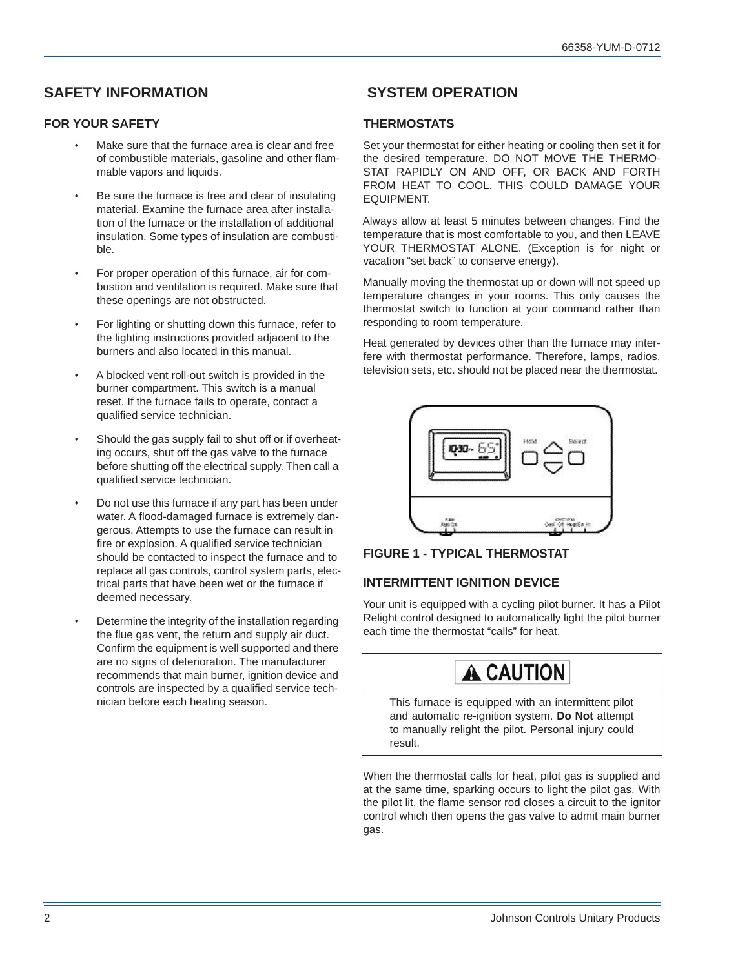### <span id="page-1-0"></span>**SAFETY INFORMATION**

### <span id="page-1-2"></span>**FOR YOUR SAFETY**

- Make sure that the furnace area is clear and free of combustible materials, gasoline and other flammable vapors and liquids.
- Be sure the furnace is free and clear of insulating material. Examine the furnace area after installation of the furnace or the installation of additional insulation. Some types of insulation are combustible.
- For proper operation of this furnace, air for combustion and ventilation is required. Make sure that these openings are not obstructed.
- For lighting or shutting down this furnace, refer to the lighting instructions provided adjacent to the burners and also located in this manual.
- A blocked vent roll-out switch is provided in the burner compartment. This switch is a manual reset. If the furnace fails to operate, contact a qualified service technician.
- Should the gas supply fail to shut off or if overheating occurs, shut off the gas valve to the furnace before shutting off the electrical supply. Then call a qualified service technician.
- Do not use this furnace if any part has been under water. A flood-damaged furnace is extremely dangerous. Attempts to use the furnace can result in fire or explosion. A qualified service technician should be contacted to inspect the furnace and to replace all gas controls, control system parts, electrical parts that have been wet or the furnace if deemed necessary.
- Determine the integrity of the installation regarding the flue gas vent, the return and supply air duct. Confirm the equipment is well supported and there are no signs of deterioration. The manufacturer recommends that main burner, ignition device and controls are inspected by a qualified service technician before each heating season.

## <span id="page-1-1"></span> **SYSTEM OPERATION**

### <span id="page-1-3"></span>**THERMOSTATS**

Set your thermostat for either heating or cooling then set it for the desired temperature. DO NOT MOVE THE THERMO-STAT RAPIDLY ON AND OFF, OR BACK AND FORTH FROM HEAT TO COOL. THIS COULD DAMAGE YOUR EQUIPMENT.

Always allow at least 5 minutes between changes. Find the temperature that is most comfortable to you, and then LEAVE YOUR THERMOSTAT ALONE. (Exception is for night or vacation "set back" to conserve energy).

Manually moving the thermostat up or down will not speed up temperature changes in your rooms. This only causes the thermostat switch to function at your command rather than responding to room temperature.

Heat generated by devices other than the furnace may interfere with thermostat performance. Therefore, lamps, radios, television sets, etc. should not be placed near the thermostat.





### <span id="page-1-4"></span>**INTERMITTENT IGNITION DEVICE**

Your unit is equipped with a cycling pilot burner. It has a Pilot Relight control designed to automatically light the pilot burner each time the thermostat "calls" for heat.



This furnace is equipped with an intermittent pilot and automatic re-ignition system. **Do Not** attempt to manually relight the pilot. Personal injury could result.

When the thermostat calls for heat, pilot gas is supplied and at the same time, sparking occurs to light the pilot gas. With the pilot lit, the flame sensor rod closes a circuit to the ignitor control which then opens the gas valve to admit main burner gas.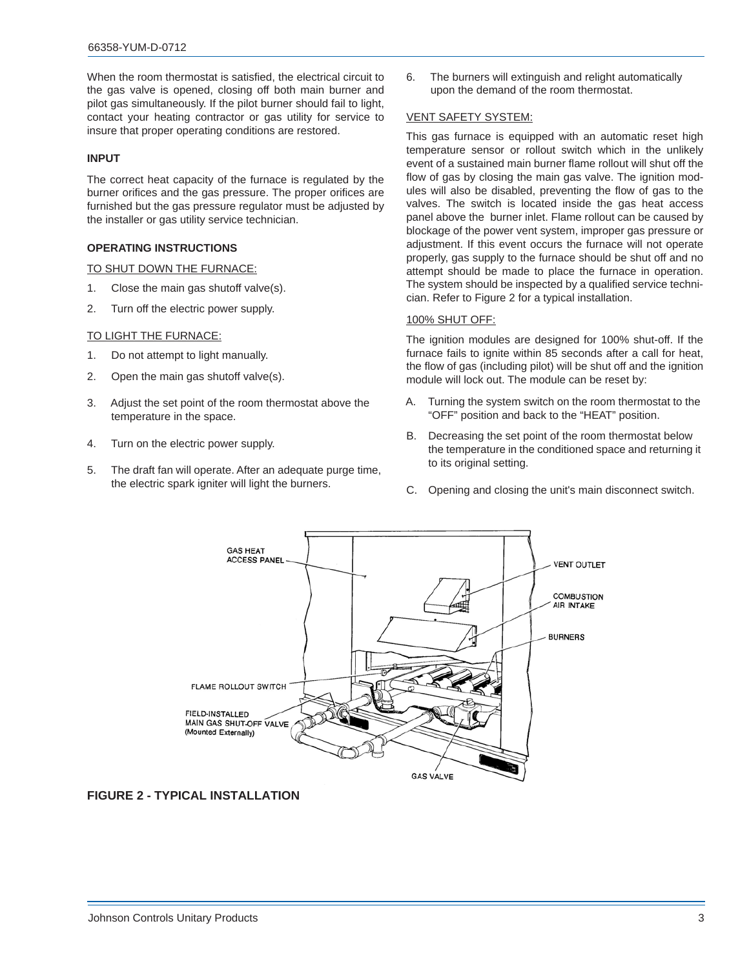When the room thermostat is satisfied, the electrical circuit to the gas valve is opened, closing off both main burner and pilot gas simultaneously. If the pilot burner should fail to light, contact your heating contractor or gas utility for service to insure that proper operating conditions are restored.

### <span id="page-2-0"></span>**INPUT**

The correct heat capacity of the furnace is regulated by the burner orifices and the gas pressure. The proper orifices are furnished but the gas pressure regulator must be adjusted by the installer or gas utility service technician.

### <span id="page-2-1"></span>**OPERATING INSTRUCTIONS**

#### TO SHUT DOWN THE FURNACE:

- 1. Close the main gas shutoff valve(s).
- 2. Turn off the electric power supply.

#### TO LIGHT THE FURNACE:

- 1. Do not attempt to light manually.
- 2. Open the main gas shutoff valve(s).
- 3. Adjust the set point of the room thermostat above the temperature in the space.
- 4. Turn on the electric power supply.
- 5. The draft fan will operate. After an adequate purge time, the electric spark igniter will light the burners.

6. The burners will extinguish and relight automatically upon the demand of the room thermostat.

#### VENT SAFETY SYSTEM:

This gas furnace is equipped with an automatic reset high temperature sensor or rollout switch which in the unlikely event of a sustained main burner flame rollout will shut off the flow of gas by closing the main gas valve. The ignition modules will also be disabled, preventing the flow of gas to the valves. The switch is located inside the gas heat access panel above the burner inlet. Flame rollout can be caused by blockage of the power vent system, improper gas pressure or adjustment. If this event occurs the furnace will not operate properly, gas supply to the furnace should be shut off and no attempt should be made to place the furnace in operation. The system should be inspected by a qualified service technician. Refer to Figure 2 for a typical installation.

#### 100% SHUT OFF:

The ignition modules are designed for 100% shut-off. If the furnace fails to ignite within 85 seconds after a call for heat, the flow of gas (including pilot) will be shut off and the ignition module will lock out. The module can be reset by:

- A. Turning the system switch on the room thermostat to the "OFF" position and back to the "HEAT" position.
- B. Decreasing the set point of the room thermostat below the temperature in the conditioned space and returning it to its original setting.
- C. Opening and closing the unit's main disconnect switch.



**FIGURE 2 - TYPICAL INSTALLATION**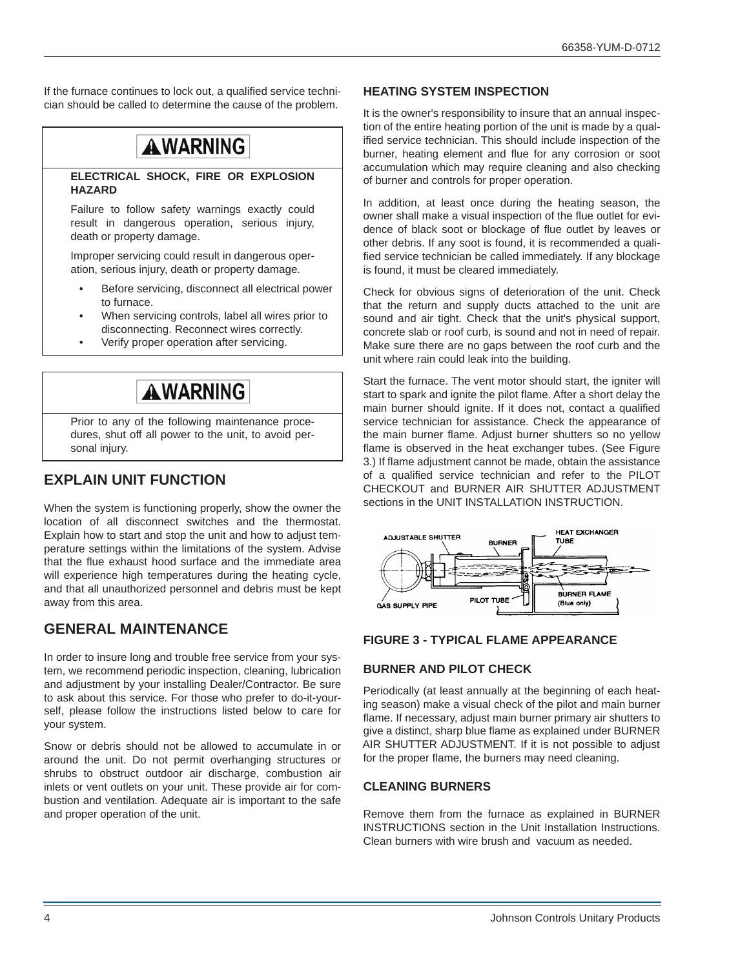If the furnace continues to lock out, a qualified service technician should be called to determine the cause of the problem.

# **AWARNING**

#### **ELECTRICAL SHOCK, FIRE OR EXPLOSION HAZARD**

Failure to follow safety warnings exactly could result in dangerous operation, serious injury, death or property damage.

Improper servicing could result in dangerous operation, serious injury, death or property damage.

- Before servicing, disconnect all electrical power to furnace.
- When servicing controls, label all wires prior to disconnecting. Reconnect wires correctly.
- Verify proper operation after servicing.

# **AWARNING**

Prior to any of the following maintenance procedures, shut off all power to the unit, to avoid personal injury.

# <span id="page-3-0"></span>**EXPLAIN UNIT FUNCTION**

When the system is functioning properly, show the owner the location of all disconnect switches and the thermostat. Explain how to start and stop the unit and how to adjust temperature settings within the limitations of the system. Advise that the flue exhaust hood surface and the immediate area will experience high temperatures during the heating cycle, and that all unauthorized personnel and debris must be kept away from this area.

### <span id="page-3-1"></span>**GENERAL MAINTENANCE**

In order to insure long and trouble free service from your system, we recommend periodic inspection, cleaning, lubrication and adjustment by your installing Dealer/Contractor. Be sure to ask about this service. For those who prefer to do-it-yourself, please follow the instructions listed below to care for your system.

Snow or debris should not be allowed to accumulate in or around the unit. Do not permit overhanging structures or shrubs to obstruct outdoor air discharge, combustion air inlets or vent outlets on your unit. These provide air for combustion and ventilation. Adequate air is important to the safe and proper operation of the unit.

### <span id="page-3-2"></span>**HEATING SYSTEM INSPECTION**

It is the owner's responsibility to insure that an annual inspection of the entire heating portion of the unit is made by a qualified service technician. This should include inspection of the burner, heating element and flue for any corrosion or soot accumulation which may require cleaning and also checking of burner and controls for proper operation.

In addition, at least once during the heating season, the owner shall make a visual inspection of the flue outlet for evidence of black soot or blockage of flue outlet by leaves or other debris. If any soot is found, it is recommended a qualified service technician be called immediately. If any blockage is found, it must be cleared immediately.

Check for obvious signs of deterioration of the unit. Check that the return and supply ducts attached to the unit are sound and air tight. Check that the unit's physical support, concrete slab or roof curb, is sound and not in need of repair. Make sure there are no gaps between the roof curb and the unit where rain could leak into the building.

Start the furnace. The vent motor should start, the igniter will start to spark and ignite the pilot flame. After a short delay the main burner should ignite. If it does not, contact a qualified service technician for assistance. Check the appearance of the main burner flame. Adjust burner shutters so no yellow flame is observed in the heat exchanger tubes. (See Figure 3.) If flame adjustment cannot be made, obtain the assistance of a qualified service technician and refer to the PILOT CHECKOUT and BURNER AIR SHUTTER ADJUSTMENT sections in the UNIT INSTALLATION INSTRUCTION.



### **FIGURE 3 - TYPICAL FLAME APPEARANCE**

### <span id="page-3-3"></span>**BURNER AND PILOT CHECK**

Periodically (at least annually at the beginning of each heating season) make a visual check of the pilot and main burner flame. If necessary, adjust main burner primary air shutters to give a distinct, sharp blue flame as explained under BURNER AIR SHUTTER ADJUSTMENT. If it is not possible to adjust for the proper flame, the burners may need cleaning.

### <span id="page-3-4"></span>**CLEANING BURNERS**

Remove them from the furnace as explained in BURNER INSTRUCTIONS section in the Unit Installation Instructions. Clean burners with wire brush and vacuum as needed.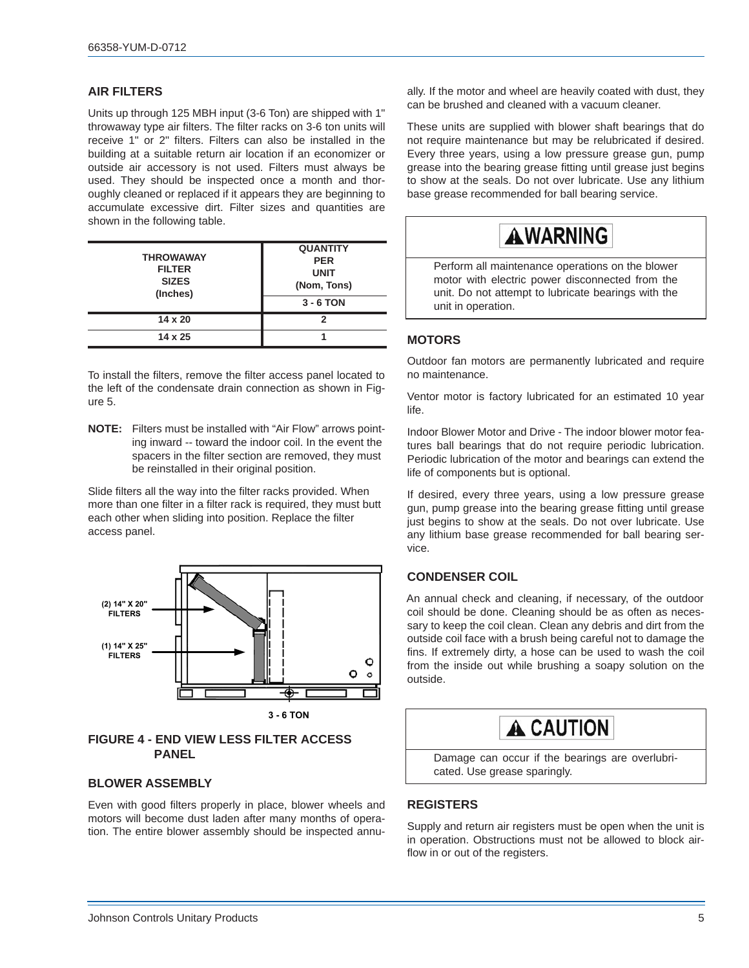### <span id="page-4-0"></span>**AIR FILTERS**

Units up through 125 MBH input (3-6 Ton) are shipped with 1" throwaway type air filters. The filter racks on 3-6 ton units will receive 1" or 2" filters. Filters can also be installed in the building at a suitable return air location if an economizer or outside air accessory is not used. Filters must always be used. They should be inspected once a month and thoroughly cleaned or replaced if it appears they are beginning to accumulate excessive dirt. Filter sizes and quantities are shown in the following table.

| <b>THROWAWAY</b><br><b>FILTER</b><br><b>SIZES</b><br>(Inches) | <b>QUANTITY</b><br><b>PER</b><br><b>UNIT</b><br>(Nom, Tons)<br>$3 - 6$ TON |
|---------------------------------------------------------------|----------------------------------------------------------------------------|
| $14 \times 20$                                                | 2                                                                          |
| $14 \times 25$                                                |                                                                            |

To install the filters, remove the filter access panel located to the left of the condensate drain connection as shown in Figure 5.

**NOTE:** Filters must be installed with "Air Flow" arrows pointing inward -- toward the indoor coil. In the event the spacers in the filter section are removed, they must be reinstalled in their original position.

Slide filters all the way into the filter racks provided. When more than one filter in a filter rack is required, they must butt each other when sliding into position. Replace the filter access panel.



### **FIGURE 4 - END VIEW LESS FILTER ACCESS PANEL**

### <span id="page-4-1"></span>**BLOWER ASSEMBLY**

Even with good filters properly in place, blower wheels and motors will become dust laden after many months of operation. The entire blower assembly should be inspected annually. If the motor and wheel are heavily coated with dust, they can be brushed and cleaned with a vacuum cleaner.

These units are supplied with blower shaft bearings that do not require maintenance but may be relubricated if desired. Every three years, using a low pressure grease gun, pump grease into the bearing grease fitting until grease just begins to show at the seals. Do not over lubricate. Use any lithium base grease recommended for ball bearing service.

# **AWARNING**

Perform all maintenance operations on the blower motor with electric power disconnected from the unit. Do not attempt to lubricate bearings with the unit in operation.

### <span id="page-4-2"></span>**MOTORS**

Outdoor fan motors are permanently lubricated and require no maintenance.

Ventor motor is factory lubricated for an estimated 10 year life.

Indoor Blower Motor and Drive - The indoor blower motor features ball bearings that do not require periodic lubrication. Periodic lubrication of the motor and bearings can extend the life of components but is optional.

If desired, every three years, using a low pressure grease gun, pump grease into the bearing grease fitting until grease just begins to show at the seals. Do not over lubricate. Use any lithium base grease recommended for ball bearing service.

### <span id="page-4-3"></span>**CONDENSER COIL**

An annual check and cleaning, if necessary, of the outdoor coil should be done. Cleaning should be as often as necessary to keep the coil clean. Clean any debris and dirt from the outside coil face with a brush being careful not to damage the fins. If extremely dirty, a hose can be used to wash the coil from the inside out while brushing a soapy solution on the outside.



Damage can occur if the bearings are overlubricated. Use grease sparingly.

### <span id="page-4-4"></span>**REGISTERS**

Supply and return air registers must be open when the unit is in operation. Obstructions must not be allowed to block airflow in or out of the registers.